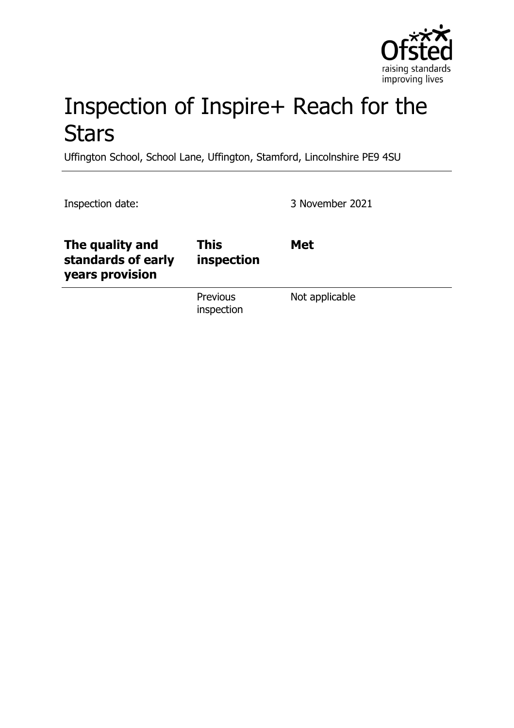

# Inspection of Inspire+ Reach for the **Stars**

Uffington School, School Lane, Uffington, Stamford, Lincolnshire PE9 4SU

Inspection date: 3 November 2021

| The quality and<br>standards of early<br>years provision | <b>This</b><br>inspection     | <b>Met</b>     |
|----------------------------------------------------------|-------------------------------|----------------|
|                                                          | <b>Previous</b><br>inspection | Not applicable |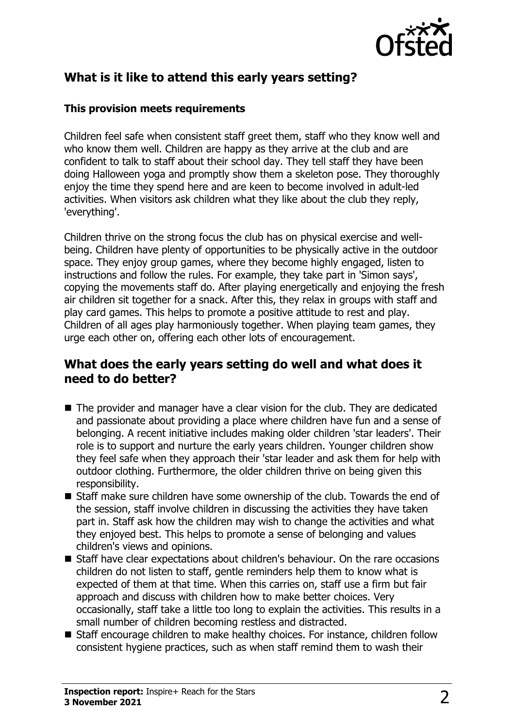

# **What is it like to attend this early years setting?**

#### **This provision meets requirements**

Children feel safe when consistent staff greet them, staff who they know well and who know them well. Children are happy as they arrive at the club and are confident to talk to staff about their school day. They tell staff they have been doing Halloween yoga and promptly show them a skeleton pose. They thoroughly enjoy the time they spend here and are keen to become involved in adult-led activities. When visitors ask children what they like about the club they reply, 'everything'.

Children thrive on the strong focus the club has on physical exercise and wellbeing. Children have plenty of opportunities to be physically active in the outdoor space. They enjoy group games, where they become highly engaged, listen to instructions and follow the rules. For example, they take part in 'Simon says', copying the movements staff do. After playing energetically and enjoying the fresh air children sit together for a snack. After this, they relax in groups with staff and play card games. This helps to promote a positive attitude to rest and play. Children of all ages play harmoniously together. When playing team games, they urge each other on, offering each other lots of encouragement.

### **What does the early years setting do well and what does it need to do better?**

- $\blacksquare$  The provider and manager have a clear vision for the club. They are dedicated and passionate about providing a place where children have fun and a sense of belonging. A recent initiative includes making older children 'star leaders'. Their role is to support and nurture the early years children. Younger children show they feel safe when they approach their 'star leader and ask them for help with outdoor clothing. Furthermore, the older children thrive on being given this responsibility.
- $\blacksquare$  Staff make sure children have some ownership of the club. Towards the end of the session, staff involve children in discussing the activities they have taken part in. Staff ask how the children may wish to change the activities and what they enjoyed best. This helps to promote a sense of belonging and values children's views and opinions.
- $\blacksquare$  Staff have clear expectations about children's behaviour. On the rare occasions children do not listen to staff, gentle reminders help them to know what is expected of them at that time. When this carries on, staff use a firm but fair approach and discuss with children how to make better choices. Very occasionally, staff take a little too long to explain the activities. This results in a small number of children becoming restless and distracted.
- Staff encourage children to make healthy choices. For instance, children follow consistent hygiene practices, such as when staff remind them to wash their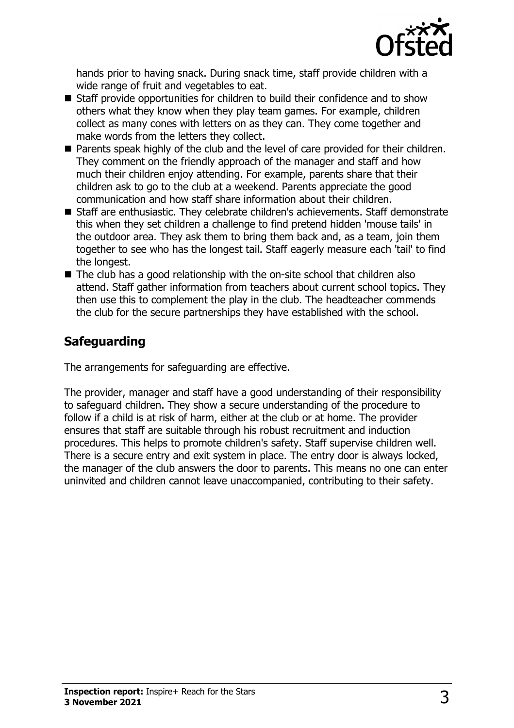

hands prior to having snack. During snack time, staff provide children with a wide range of fruit and vegetables to eat.

- $\blacksquare$  Staff provide opportunities for children to build their confidence and to show others what they know when they play team games. For example, children collect as many cones with letters on as they can. They come together and make words from the letters they collect.
- Parents speak highly of the club and the level of care provided for their children. They comment on the friendly approach of the manager and staff and how much their children enjoy attending. For example, parents share that their children ask to go to the club at a weekend. Parents appreciate the good communication and how staff share information about their children.
- Staff are enthusiastic. They celebrate children's achievements. Staff demonstrate this when they set children a challenge to find pretend hidden 'mouse tails' in the outdoor area. They ask them to bring them back and, as a team, join them together to see who has the longest tail. Staff eagerly measure each 'tail' to find the longest.
- $\blacksquare$  The club has a good relationship with the on-site school that children also attend. Staff gather information from teachers about current school topics. They then use this to complement the play in the club. The headteacher commends the club for the secure partnerships they have established with the school.

## **Safeguarding**

The arrangements for safeguarding are effective.

The provider, manager and staff have a good understanding of their responsibility to safeguard children. They show a secure understanding of the procedure to follow if a child is at risk of harm, either at the club or at home. The provider ensures that staff are suitable through his robust recruitment and induction procedures. This helps to promote children's safety. Staff supervise children well. There is a secure entry and exit system in place. The entry door is always locked, the manager of the club answers the door to parents. This means no one can enter uninvited and children cannot leave unaccompanied, contributing to their safety.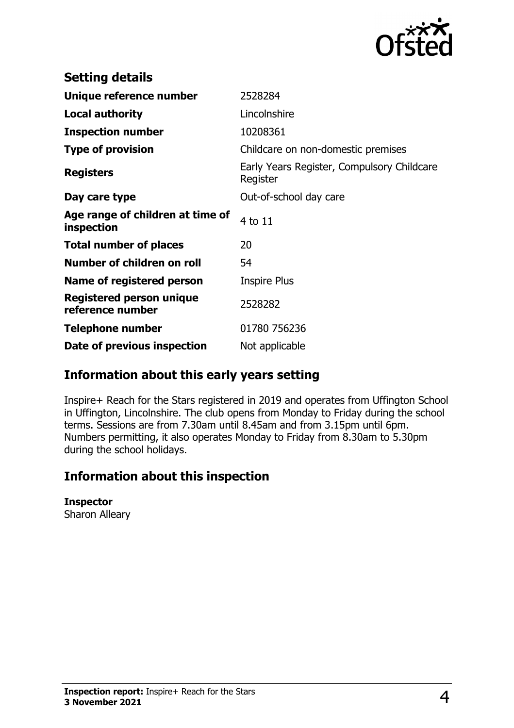

| <b>Setting details</b>                         |                                                        |
|------------------------------------------------|--------------------------------------------------------|
| Unique reference number                        | 2528284                                                |
| <b>Local authority</b>                         | Lincolnshire                                           |
| <b>Inspection number</b>                       | 10208361                                               |
| <b>Type of provision</b>                       | Childcare on non-domestic premises                     |
| <b>Registers</b>                               | Early Years Register, Compulsory Childcare<br>Register |
| Day care type                                  | Out-of-school day care                                 |
| Age range of children at time of<br>inspection | 4 to 11                                                |
| <b>Total number of places</b>                  | 20                                                     |
| Number of children on roll                     | 54                                                     |
| Name of registered person                      | <b>Inspire Plus</b>                                    |
| Registered person unique<br>reference number   | 2528282                                                |
| <b>Telephone number</b>                        | 01780 756236                                           |
| Date of previous inspection                    | Not applicable                                         |

### **Information about this early years setting**

Inspire+ Reach for the Stars registered in 2019 and operates from Uffington School in Uffington, Lincolnshire. The club opens from Monday to Friday during the school terms. Sessions are from 7.30am until 8.45am and from 3.15pm until 6pm. Numbers permitting, it also operates Monday to Friday from 8.30am to 5.30pm during the school holidays.

### **Information about this inspection**

#### **Inspector**

Sharon Alleary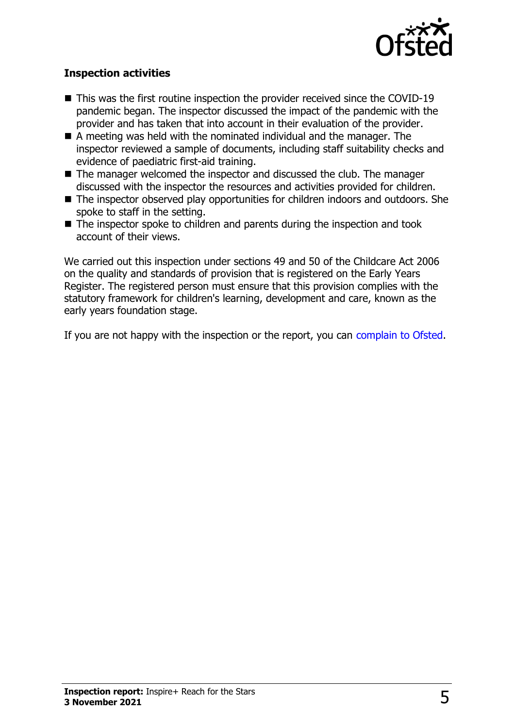

#### **Inspection activities**

- $\blacksquare$  This was the first routine inspection the provider received since the COVID-19 pandemic began. The inspector discussed the impact of the pandemic with the provider and has taken that into account in their evaluation of the provider.
- $\blacksquare$  A meeting was held with the nominated individual and the manager. The inspector reviewed a sample of documents, including staff suitability checks and evidence of paediatric first-aid training.
- $\blacksquare$  The manager welcomed the inspector and discussed the club. The manager discussed with the inspector the resources and activities provided for children.
- $\blacksquare$  The inspector observed play opportunities for children indoors and outdoors. She spoke to staff in the setting.
- $\blacksquare$  The inspector spoke to children and parents during the inspection and took account of their views.

We carried out this inspection under sections 49 and 50 of the Childcare Act 2006 on the quality and standards of provision that is registered on the Early Years Register. The registered person must ensure that this provision complies with the statutory framework for children's learning, development and care, known as the early years foundation stage.

If you are not happy with the inspection or the report, you can [complain to Ofsted](http://www.gov.uk/complain-ofsted-report).